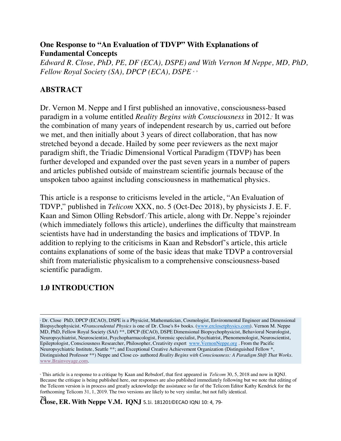#### **One Response to "An Evaluation of TDVP" With Explanations of Fundamental Concepts**

*Edward R. Close, PhD, PE, DF (ECA), DSPE) and With Vernon M Neppe, MD, PhD, Fellow Royal Society (SA), DPCP (ECA), DSPE <sup>a</sup> <sup>b</sup>*

# **ABSTRACT**

Dr. Vernon M. Neppe and I first published an innovative, consciousness-based paradigm in a volume entitled *Reality Begins with Consciousness* in 2012. It was the combination of many years of independent research by us, carried out before we met, and then initially about 3 years of direct collaboration, that has now stretched beyond a decade. Hailed by some peer reviewers as the next major paradigm shift, the Triadic Dimensional Vortical Paradigm (TDVP) has been further developed and expanded over the past seven years in a number of papers and articles published outside of mainstream scientific journals because of the unspoken taboo against including consciousness in mathematical physics.

This article is a response to criticisms leveled in the article, "An Evaluation of TDVP," published in *Telicom* XXX, no. 5 (Oct-Dec 2018), by physicists J. E. F. Kaan and Simon Olling Rebsdorf. 2 This article, along with Dr. Neppe's rejoinder (which immediately follows this article), underlines the difficulty that mainstream scientists have had in understanding the basics and implications of TDVP. In addition to replying to the criticisms in Kaan and Rebsdorf's article, this article contains explanations of some of the basic ideas that make TDVP a controversial shift from materialistic physicalism to a comprehensive consciousness-based scientific paradigm.

# **1.0 INTRODUCTION**

 $\overline{a}$ <sup>a</sup> Dr. Close PhD, DPCP (ECAO), DSPE is a Physicist, Mathematician, Cosmologist, Environmental Engineer and Dimensional Biopsychophysicist. •*Transcendental Physics* is one of Dr. Close's 8+ books. (www.erclosetphysics.com). Vernon M. Neppe MD, PhD, Fellow Royal Society (SAf) \*\*, DPCP (ECAO), DSPE Dimensional Biopsychophysicist, Behavioral Neurologist, Neuropsychiatrist, Neuroscientist, Psychopharmacologist, Forensic specialist, Psychiatrist, Phenomenologist, Neuroscientist, Epileptologist, Consciousness Researcher, Philosopher, Creativity expert www.VernonNeppe.org . From the Pacific Neuropsychiatric Institute, Seattle \*\*; and Exceptional Creative Achievement Organization (Distinguished Fellow \*, Distinguished Professor \*\*) Neppe and Close co- authored *Reality Begins with Consciousness: A Paradigm Shift That Works.*  www.Brainvoyage.com.

<sup>b</sup> This article is a response to a critique by Kaan and Rebsdorf, that first appeared in *Telicom* 30, 5, 2018 and now in IQNJ. Because the critique is being published here, our responses are also published immediately following but we note that editing of the Telicom version is in process and greatly acknowledge the assistance so far of the Telicom Editor Kathy Kendrick for the forthcoming Telicom 31, 1, 2019. The two versions are likely to be very similar, but not fully identical.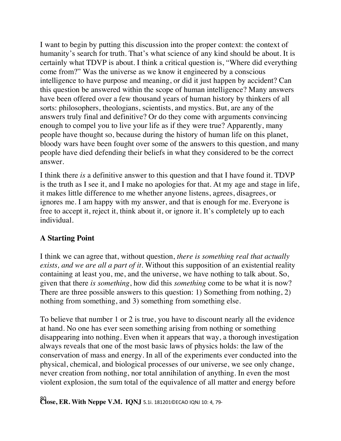I want to begin by putting this discussion into the proper context: the context of humanity's search for truth. That's what science of any kind should be about. It is certainly what TDVP is about. I think a critical question is, "Where did everything come from?" Was the universe as we know it engineered by a conscious intelligence to have purpose and meaning, or did it just happen by accident? Can this question be answered within the scope of human intelligence? Many answers have been offered over a few thousand years of human history by thinkers of all sorts: philosophers, theologians, scientists, and mystics. But, are any of the answers truly final and definitive? Or do they come with arguments convincing enough to compel you to live your life as if they were true? Apparently, many people have thought so, because during the history of human life on this planet, bloody wars have been fought over some of the answers to this question, and many people have died defending their beliefs in what they considered to be the correct answer.

I think there *is* a definitive answer to this question and that I have found it. TDVP is the truth as I see it, and I make no apologies for that. At my age and stage in life, it makes little difference to me whether anyone listens, agrees, disagrees, or ignores me. I am happy with my answer, and that is enough for me. Everyone is free to accept it, reject it, think about it, or ignore it. It's completely up to each individual.

## **A Starting Point**

I think we can agree that, without question, *there is something real that actually exists, and we are all a part of it*. Without this supposition of an existential reality containing at least you, me, and the universe, we have nothing to talk about. So, given that there *is something*, how did this *something* come to be what it is now? There are three possible answers to this question: 1) Something from nothing, 2) nothing from something, and 3) something from something else.

To believe that number 1 or 2 is true, you have to discount nearly all the evidence at hand. No one has ever seen something arising from nothing or something disappearing into nothing. Even when it appears that way, a thorough investigation always reveals that one of the most basic laws of physics holds: the law of the conservation of mass and energy. In all of the experiments ever conducted into the physical, chemical, and biological processes of our universe, we see only change, never creation from nothing, nor total annihilation of anything. In even the most violent explosion, the sum total of the equivalence of all matter and energy before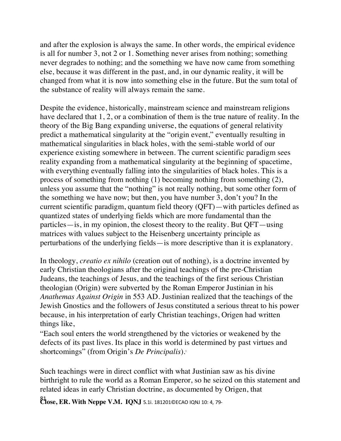and after the explosion is always the same. In other words, the empirical evidence is all for number 3, not 2 or 1. Something never arises from nothing; something never degrades to nothing; and the something we have now came from something else, because it was different in the past, and, in our dynamic reality, it will be changed from what it is now into something else in the future. But the sum total of the substance of reality will always remain the same.

Despite the evidence, historically, mainstream science and mainstream religions have declared that 1, 2, or a combination of them is the true nature of reality. In the theory of the Big Bang expanding universe, the equations of general relativity predict a mathematical singularity at the "origin event," eventually resulting in mathematical singularities in black holes, with the semi-stable world of our experience existing somewhere in between. The current scientific paradigm sees reality expanding from a mathematical singularity at the beginning of spacetime, with everything eventually falling into the singularities of black holes. This is a process of something from nothing (1) becoming nothing from something (2), unless you assume that the "nothing" is not really nothing, but some other form of the something we have now; but then, you have number 3, don't you? In the current scientific paradigm, quantum field theory (QFT)—with particles defined as quantized states of underlying fields which are more fundamental than the particles—is, in my opinion, the closest theory to the reality. But QFT—using matrices with values subject to the Heisenberg uncertainty principle as perturbations of the underlying fields—is more descriptive than it is explanatory.

In theology, *creatio ex nihilo* (creation out of nothing), is a doctrine invented by early Christian theologians after the original teachings of the pre-Christian Judeans, the teachings of Jesus, and the teachings of the first serious Christian theologian (Origin) were subverted by the Roman Emperor Justinian in his *Anathemas Against Origin* in 553 AD. Justinian realized that the teachings of the Jewish Gnostics and the followers of Jesus constituted a serious threat to his power because, in his interpretation of early Christian teachings, Origen had written things like,

"Each soul enters the world strengthened by the victories or weakened by the defects of its past lives. Its place in this world is determined by past virtues and shortcomings" (from Origin's *De Principalis*). 3

Such teachings were in direct conflict with what Justinian saw as his divine birthright to rule the world as a Roman Emperor, so he seized on this statement and related ideas in early Christian doctrine, as documented by Origen, that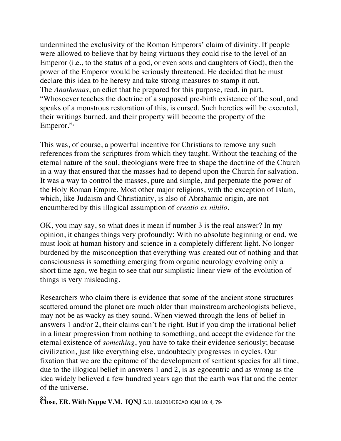undermined the exclusivity of the Roman Emperors' claim of divinity. If people were allowed to believe that by being virtuous they could rise to the level of an Emperor (i.e., to the status of a god, or even sons and daughters of God), then the power of the Emperor would be seriously threatened. He decided that he must declare this idea to be heresy and take strong measures to stamp it out. The *Anathemas*, an edict that he prepared for this purpose, read, in part, "Whosoever teaches the doctrine of a supposed pre-birth existence of the soul, and speaks of a monstrous restoration of this, is cursed. Such heretics will be executed, their writings burned, and their property will become the property of the Emperor."

This was, of course, a powerful incentive for Christians to remove any such references from the scriptures from which they taught. Without the teaching of the eternal nature of the soul, theologians were free to shape the doctrine of the Church in a way that ensured that the masses had to depend upon the Church for salvation. It was a way to control the masses, pure and simple, and perpetuate the power of the Holy Roman Empire. Most other major religions, with the exception of Islam, which, like Judaism and Christianity, is also of Abrahamic origin, are not encumbered by this illogical assumption of *creatio ex nihilo*.

OK, you may say, so what does it mean if number 3 is the real answer? In my opinion, it changes things very profoundly: With no absolute beginning or end, we must look at human history and science in a completely different light. No longer burdened by the misconception that everything was created out of nothing and that consciousness is something emerging from organic neurology evolving only a short time ago, we begin to see that our simplistic linear view of the evolution of things is very misleading.

Researchers who claim there is evidence that some of the ancient stone structures scattered around the planet are much older than mainstream archeologists believe, may not be as wacky as they sound. When viewed through the lens of belief in answers 1 and/or 2, their claims can't be right. But if you drop the irrational belief in a linear progression from nothing to something, and accept the evidence for the eternal existence of *something*, you have to take their evidence seriously; because civilization, just like everything else, undoubtedly progresses in cycles. Our fixation that we are the epitome of the development of sentient species for all time, due to the illogical belief in answers 1 and 2, is as egocentric and as wrong as the idea widely believed a few hundred years ago that the earth was flat and the center of the universe.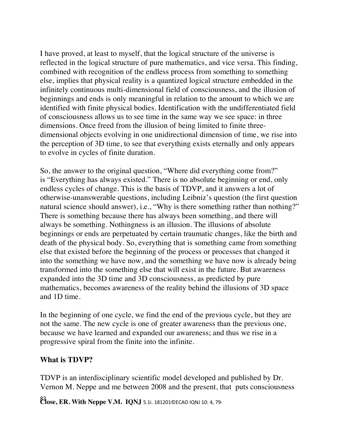I have proved, at least to myself, that the logical structure of the universe is reflected in the logical structure of pure mathematics, and vice versa. This finding, combined with recognition of the endless process from something to something else, implies that physical reality is a quantized logical structure embedded in the infinitely continuous multi-dimensional field of consciousness, and the illusion of beginnings and ends is only meaningful in relation to the amount to which we are identified with finite physical bodies. Identification with the undifferentiated field of consciousness allows us to see time in the same way we see space: in three dimensions. Once freed from the illusion of being limited to finite threedimensional objects evolving in one unidirectional dimension of time, we rise into the perception of 3D time, to see that everything exists eternally and only appears to evolve in cycles of finite duration.

So, the answer to the original question, "Where did everything come from?" is "Everything has always existed." There is no absolute beginning or end, only endless cycles of change. This is the basis of TDVP, and it answers a lot of otherwise-unanswerable questions, including Leibniz's question (the first question natural science should answer), i.e., "Why is there something rather than nothing?" There is something because there has always been something, and there will always be something. Nothingness is an illusion. The illusions of absolute beginnings or ends are perpetuated by certain traumatic changes, like the birth and death of the physical body. So, everything that is something came from something else that existed before the beginning of the process or processes that changed it into the something we have now, and the something we have now is already being transformed into the something else that will exist in the future. But awareness expanded into the 3D time and 3D consciousness, as predicted by pure mathematics, becomes awareness of the reality behind the illusions of 3D space and 1D time.

In the beginning of one cycle, we find the end of the previous cycle, but they are not the same. The new cycle is one of greater awareness than the previous one, because we have learned and expanded our awareness; and thus we rise in a progressive spiral from the finite into the infinite.

#### **What is TDVP?**

TDVP is an interdisciplinary scientific model developed and published by Dr. Vernon M. Neppe and me between 2008 and the present, that puts consciousness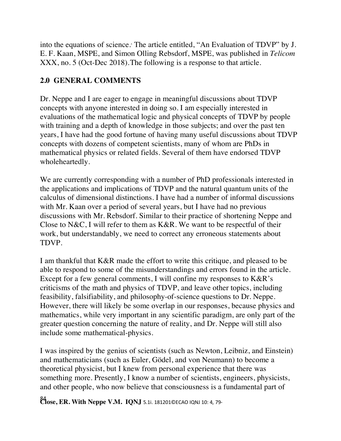into the equations of science.<sup>5</sup> The article entitled, "An Evaluation of TDVP" by J. E. F. Kaan, MSPE, and Simon Olling Rebsdorf, MSPE, was published in *Telicom* XXX, no. 5 (Oct-Dec 2018).The following is a response to that article.

## **2.0 GENERAL COMMENTS**

Dr. Neppe and I are eager to engage in meaningful discussions about TDVP concepts with anyone interested in doing so. I am especially interested in evaluations of the mathematical logic and physical concepts of TDVP by people with training and a depth of knowledge in those subjects; and over the past ten years, I have had the good fortune of having many useful discussions about TDVP concepts with dozens of competent scientists, many of whom are PhDs in mathematical physics or related fields. Several of them have endorsed TDVP wholeheartedly.

We are currently corresponding with a number of PhD professionals interested in the applications and implications of TDVP and the natural quantum units of the calculus of dimensional distinctions. I have had a number of informal discussions with Mr. Kaan over a period of several years, but I have had no previous discussions with Mr. Rebsdorf. Similar to their practice of shortening Neppe and Close to N&C, I will refer to them as K&R. We want to be respectful of their work, but understandably, we need to correct any erroneous statements about TDVP.

I am thankful that K&R made the effort to write this critique, and pleased to be able to respond to some of the misunderstandings and errors found in the article. Except for a few general comments, I will confine my responses to K&R's criticisms of the math and physics of TDVP, and leave other topics, including feasibility, falsifiability, and philosophy-of-science questions to Dr. Neppe. However, there will likely be some overlap in our responses, because physics and mathematics, while very important in any scientific paradigm, are only part of the greater question concerning the nature of reality, and Dr. Neppe will still also include some mathematical-physics.

I was inspired by the genius of scientists (such as Newton, Leibniz, and Einstein) and mathematicians (such as Euler, Gödel, and von Neumann) to become a theoretical physicist, but I knew from personal experience that there was something more. Presently, I know a number of scientists, engineers, physicists, and other people, who now believe that consciousness is a fundamental part of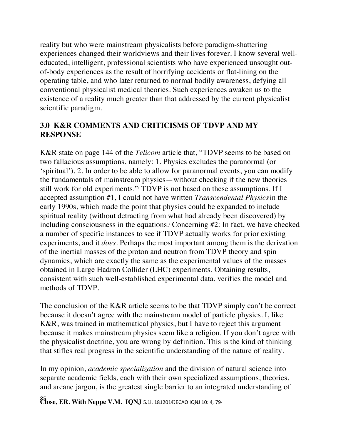reality but who were mainstream physicalists before paradigm-shattering experiences changed their worldviews and their lives forever. I know several welleducated, intelligent, professional scientists who have experienced unsought outof-body experiences as the result of horrifying accidents or flat-lining on the operating table, and who later returned to normal bodily awareness, defying all conventional physicalist medical theories. Such experiences awaken us to the existence of a reality much greater than that addressed by the current physicalist scientific paradigm.

### **3.0 K&R COMMENTS AND CRITICISMS OF TDVP AND MY RESPONSE**

K&R state on page 144 of the *Telicom* article that, "TDVP seems to be based on two fallacious assumptions, namely: 1. Physics excludes the paranormal (or 'spiritual'). 2. In order to be able to allow for paranormal events, you can modify the fundamentals of mainstream physics—without checking if the new theories still work for old experiments." TDVP is not based on these assumptions. If I accepted assumption #1, I could not have written *Transcendental Physics*in the early 1990s, which made the point that physics could be expanded to include spiritual reality (without detracting from what had already been discovered) by including consciousness in the equations.<sup>7</sup> Concerning #2: In fact, we have checked a number of specific instances to see if TDVP actually works for prior existing experiments, and it *does.* Perhaps the most important among them is the derivation of the inertial masses of the proton and neutron from TDVP theory and spin dynamics, which are exactly the same as the experimental values of the masses obtained in Large Hadron Collider (LHC) experiments. Obtaining results, consistent with such well-established experimental data, verifies the model and methods of TDVP.

The conclusion of the K&R article seems to be that TDVP simply can't be correct because it doesn't agree with the mainstream model of particle physics. I, like K&R, was trained in mathematical physics, but I have to reject this argument because it makes mainstream physics seem like a religion. If you don't agree with the physicalist doctrine, you are wrong by definition. This is the kind of thinking that stifles real progress in the scientific understanding of the nature of reality.

In my opinion, *academic specialization* and the division of natural science into separate academic fields, each with their own specialized assumptions, theories, and arcane jargon, is the greatest single barrier to an integrated understanding of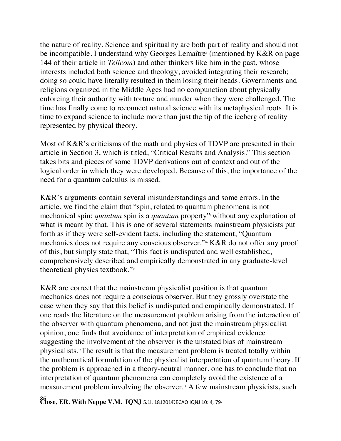the nature of reality. Science and spirituality are both part of reality and should not be incompatible. I understand why Georges Lemaître (mentioned by K&R on page 144 of their article in *Telicom*) and other thinkers like him in the past, whose interests included both science and theology, avoided integrating their research; doing so could have literally resulted in them losing their heads. Governments and religions organized in the Middle Ages had no compunction about physically enforcing their authority with torture and murder when they were challenged. The time has finally come to reconnect natural science with its metaphysical roots. It is time to expand science to include more than just the tip of the iceberg of reality represented by physical theory.

Most of K&R's criticisms of the math and physics of TDVP are presented in their article in Section 3, which is titled, "Critical Results and Analysis." This section takes bits and pieces of some TDVP derivations out of context and out of the logical order in which they were developed. Because of this, the importance of the need for a quantum calculus is missed.

K&R's arguments contain several misunderstandings and some errors. In the article, we find the claim that "spin, related to quantum phenomena is not mechanical spin; *quantum* spin is a *quantum* property"<sup>,</sup> without any explanation of what is meant by that. This is one of several statements mainstream physicists put forth as if they were self-evident facts, including the statement, "Quantum mechanics does not require any conscious observer."<sup>10</sup> K&R do not offer any proof of this, but simply state that, "This fact is undisputed and well established, comprehensively described and empirically demonstrated in any graduate-level theoretical physics textbook."<sup>11</sup>

K&R are correct that the mainstream physicalist position is that quantum mechanics does not require a conscious observer. But they grossly overstate the case when they say that this belief is undisputed and empirically demonstrated. If one reads the literature on the measurement problem arising from the interaction of the observer with quantum phenomena, and not just the mainstream physicalist opinion, one finds that avoidance of interpretation of empirical evidence suggesting the involvement of the observer is the unstated bias of mainstream physicalists.12 The result is that the measurement problem is treated totally within the mathematical formulation of the physicalist interpretation of quantum theory. If the problem is approached in a theory-neutral manner, one has to conclude that no interpretation of quantum phenomena can completely avoid the existence of a measurement problem involving the observer.13 A few mainstream physicists, such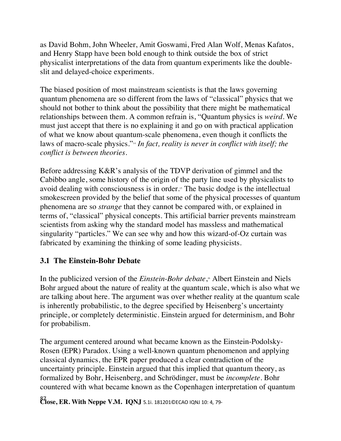as David Bohm, John Wheeler, Amit Goswami, Fred Alan Wolf, Menas Kafatos, and Henry Stapp have been bold enough to think outside the box of strict physicalist interpretations of the data from quantum experiments like the doubleslit and delayed-choice experiments.

The biased position of most mainstream scientists is that the laws governing quantum phenomena are so different from the laws of "classical" physics that we should not bother to think about the possibility that there might be mathematical relationships between them. A common refrain is, "Quantum physics is *weird*. We must just accept that there is no explaining it and go on with practical application of what we know about quantum-scale phenomena, even though it conflicts the laws of macro-scale physics."14 *In fact, reality is never in conflict with itself; the conflict is between theories*.

Before addressing K&R's analysis of the TDVP derivation of gimmel and the Cabibbo angle, some history of the origin of the party line used by physicalists to avoid dealing with consciousness is in order.<sup>15</sup> The basic dodge is the intellectual smokescreen provided by the belief that some of the physical processes of quantum phenomena are so *strange* that they cannot be compared with, or explained in terms of, "classical" physical concepts. This artificial barrier prevents mainstream scientists from asking why the standard model has massless and mathematical singularity "particles." We can see why and how this wizard-of-Oz curtain was fabricated by examining the thinking of some leading physicists.

## **3.1 The Einstein-Bohr Debate**

In the publicized version of the *Einstein-Bohr debate*,<sup>6</sup> Albert Einstein and Niels Bohr argued about the nature of reality at the quantum scale, which is also what we are talking about here. The argument was over whether reality at the quantum scale is inherently probabilistic, to the degree specified by Heisenberg's uncertainty principle, or completely deterministic. Einstein argued for determinism, and Bohr for probabilism.

The argument centered around what became known as the Einstein-Podolsky-Rosen (EPR) Paradox. Using a well-known quantum phenomenon and applying classical dynamics, the EPR paper produced a clear contradiction of the uncertainty principle. Einstein argued that this implied that quantum theory, as formalized by Bohr, Heisenberg, and Schrödinger, must be *incomplete*. Bohr countered with what became known as the Copenhagen interpretation of quantum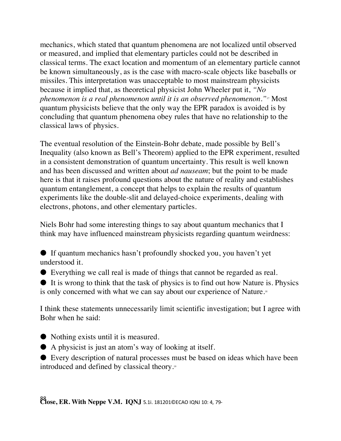mechanics, which stated that quantum phenomena are not localized until observed or measured, and implied that elementary particles could not be described in classical terms. The exact location and momentum of an elementary particle cannot be known simultaneously, as is the case with macro-scale objects like baseballs or missiles. This interpretation was unacceptable to most mainstream physicists because it implied that, as theoretical physicist John Wheeler put it, *"No phenomenon is a real phenomenon until it is an observed phenomenon."*<sup>17</sup> Most quantum physicists believe that the only way the EPR paradox is avoided is by concluding that quantum phenomena obey rules that have no relationship to the classical laws of physics.

The eventual resolution of the Einstein-Bohr debate, made possible by Bell's Inequality (also known as Bell's Theorem) applied to the EPR experiment, resulted in a consistent demonstration of quantum uncertainty. This result is well known and has been discussed and written about *ad nauseam*; but the point to be made here is that it raises profound questions about the nature of reality and establishes quantum entanglement, a concept that helps to explain the results of quantum experiments like the double-slit and delayed-choice experiments, dealing with electrons, photons, and other elementary particles.

Niels Bohr had some interesting things to say about quantum mechanics that I think may have influenced mainstream physicists regarding quantum weirdness:

● If quantum mechanics hasn't profoundly shocked you, you haven't yet understood it.

● Everything we call real is made of things that cannot be regarded as real.

● It is wrong to think that the task of physics is to find out how Nature is. Physics is only concerned with what we can say about our experience of Nature.<sup>18</sup>

I think these statements unnecessarily limit scientific investigation; but I agree with Bohr when he said:

● Nothing exists until it is measured.

● A physicist is just an atom's way of looking at itself.

● Every description of natural processes must be based on ideas which have been introduced and defined by classical theory.19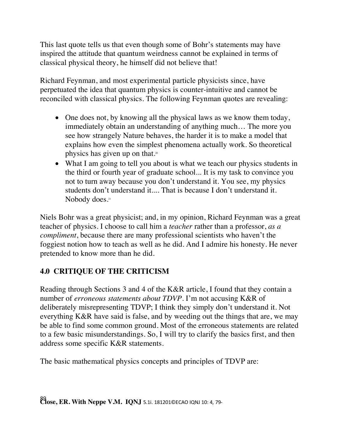This last quote tells us that even though some of Bohr's statements may have inspired the attitude that quantum weirdness cannot be explained in terms of classical physical theory, he himself did not believe that!

Richard Feynman, and most experimental particle physicists since, have perpetuated the idea that quantum physics is counter-intuitive and cannot be reconciled with classical physics. The following Feynman quotes are revealing:

- One does not, by knowing all the physical laws as we know them today, immediately obtain an understanding of anything much… The more you see how strangely Nature behaves, the harder it is to make a model that explains how even the simplest phenomena actually work. So theoretical physics has given up on that. 20
- What I am going to tell you about is what we teach our physics students in the third or fourth year of graduate school... It is my task to convince you not to turn away because you don't understand it. You see, my physics students don't understand it.... That is because I don't understand it. Nobody does.<sup>21</sup>

Niels Bohr was a great physicist; and, in my opinion, Richard Feynman was a great teacher of physics. I choose to call him a *teacher* rather than a professor, *as a compliment*, because there are many professional scientists who haven't the foggiest notion how to teach as well as he did. And I admire his honesty. He never pretended to know more than he did.

## **4.0 CRITIQUE OF THE CRITICISM**

Reading through Sections 3 and 4 of the K&R article, I found that they contain a number of *erroneous statements about TDVP*. I'm not accusing K&R of deliberately misrepresenting TDVP; I think they simply don't understand it. Not everything K&R have said is false, and by weeding out the things that are, we may be able to find some common ground. Most of the erroneous statements are related to a few basic misunderstandings. So, I will try to clarify the basics first, and then address some specific K&R statements.

The basic mathematical physics concepts and principles of TDVP are: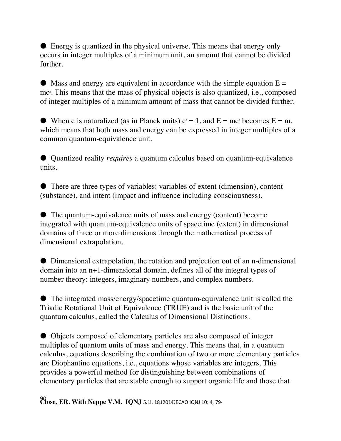● Energy is quantized in the physical universe. This means that energy only occurs in integer multiples of a minimum unit, an amount that cannot be divided further.

 $\bullet$  Mass and energy are equivalent in accordance with the simple equation  $E =$ mc2 . This means that the mass of physical objects is also quantized, i.e., composed of integer multiples of a minimum amount of mass that cannot be divided further.

• When c is naturalized (as in Planck units)  $c^2 = 1$ , and  $E = mc^2$  becomes  $E = m$ , which means that both mass and energy can be expressed in integer multiples of a common quantum-equivalence unit.

● Quantized reality *requires* a quantum calculus based on quantum-equivalence units.

● There are three types of variables: variables of extent (dimension), content (substance), and intent (impact and influence including consciousness).

● The quantum-equivalence units of mass and energy (content) become integrated with quantum-equivalence units of spacetime (extent) in dimensional domains of three or more dimensions through the mathematical process of dimensional extrapolation.

● Dimensional extrapolation, the rotation and projection out of an n-dimensional domain into an n+1-dimensional domain, defines all of the integral types of number theory: integers, imaginary numbers, and complex numbers.

● The integrated mass/energy/spacetime quantum-equivalence unit is called the Triadic Rotational Unit of Equivalence (TRUE) and is the basic unit of the quantum calculus, called the Calculus of Dimensional Distinctions.

● Objects composed of elementary particles are also composed of integer multiples of quantum units of mass and energy. This means that, in a quantum calculus, equations describing the combination of two or more elementary particles are Diophantine equations, i.e., equations whose variables are integers. This provides a powerful method for distinguishing between combinations of elementary particles that are stable enough to support organic life and those that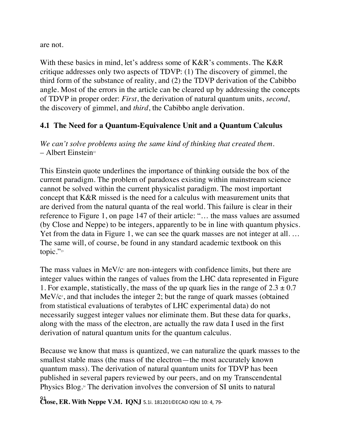are not.

With these basics in mind, let's address some of K&R's comments. The K&R critique addresses only two aspects of TDVP: (1) The discovery of gimmel, the third form of the substance of reality, and (2) the TDVP derivation of the Cabibbo angle. Most of the errors in the article can be cleared up by addressing the concepts of TDVP in proper order: *First*, the derivation of natural quantum units, *second*, the discovery of gimmel, and *third*, the Cabibbo angle derivation.

### **4.1 The Need for a Quantum-Equivalence Unit and a Quantum Calculus**

*We can't solve problems using the same kind of thinking that created them.*  $-$  Albert Einstein<sup>22</sup>

This Einstein quote underlines the importance of thinking outside the box of the current paradigm. The problem of paradoxes existing within mainstream science cannot be solved within the current physicalist paradigm. The most important concept that K&R missed is the need for a calculus with measurement units that are derived from the natural quanta of the real world. This failure is clear in their reference to Figure 1, on page 147 of their article: "… the mass values are assumed (by Close and Neppe) to be integers, apparently to be in line with quantum physics. Yet from the data in Figure 1, we can see the quark masses are not integer at all. … The same will, of course, be found in any standard academic textbook on this topic." $23$ 

The mass values in  $MeV/c<sup>2</sup>$  are non-integers with confidence limits, but there are integer values within the ranges of values from the LHC data represented in Figure 1. For example, statistically, the mass of the up quark lies in the range of  $2.3 \pm 0.7$  $MeV/c<sup>2</sup>$ , and that includes the integer 2; but the range of quark masses (obtained from statistical evaluations of terabytes of LHC experimental data) do not necessarily suggest integer values nor eliminate them. But these data for quarks, along with the mass of the electron, are actually the raw data I used in the first derivation of natural quantum units for the quantum calculus.

Because we know that mass is quantized, we can naturalize the quark masses to the smallest stable mass (the mass of the electron—the most accurately known quantum mass). The derivation of natural quantum units for TDVP has been published in several papers reviewed by our peers, and on my Transcendental Physics Blog.<sup>24</sup> The derivation involves the conversion of SI units to natural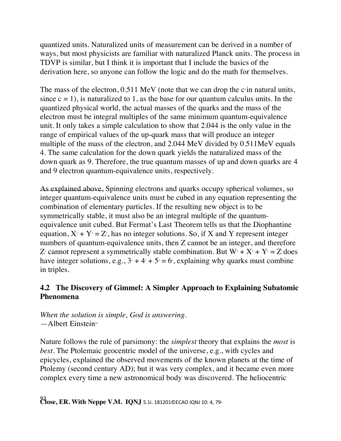quantized units. Naturalized units of measurement can be derived in a number of ways, but most physicists are familiar with naturalized Planck units. The process in TDVP is similar, but I think it is important that I include the basics of the derivation here, so anyone can follow the logic and do the math for themselves.

The mass of the electron,  $0.511$  MeV (note that we can drop the c<sup>2</sup> in natural units, since  $c = 1$ , is naturalized to 1, as the base for our quantum calculus units. In the quantized physical world, the actual masses of the quarks and the mass of the electron must be integral multiples of the same minimum quantum-equivalence unit. It only takes a simple calculation to show that 2.044 is the only value in the range of empirical values of the up-quark mass that will produce an integer multiple of the mass of the electron, and 2.044 MeV divided by 0.511MeV equals 4. The same calculation for the down quark yields the naturalized mass of the down quark as 9. Therefore, the true quantum masses of up and down quarks are 4 and 9 electron quantum-equivalence units, respectively.

As explained above, Spinning electrons and quarks occupy spherical volumes, so integer quantum-equivalence units must be cubed in any equation representing the combination of elementary particles. If the resulting new object is to be symmetrically stable, it must also be an integral multiple of the quantumequivalence unit cubed. But Fermat's Last Theorem tells us that the Diophantine equation,  $X^3 + Y^3 = Z^3$ , has no integer solutions. So, if X and Y represent integer numbers of quantum-equivalence units, then Z cannot be an integer, and therefore  $Z_3$  cannot represent a symmetrically stable combination. But  $W_3 + X_3 + Y_3 = Z_3$  does have integer solutions, e.g.,  $3^3 + 4^3 + 5^3 = 6^3$ , explaining why quarks must combine in triples.

### **4.2 The Discovery of Gimmel: A Simpler Approach to Explaining Subatomic Phenomena**

*When the solution is simple, God is answering.*  $-\lambda$ lbert Einstein<sup>25</sup>

Nature follows the rule of parsimony: the *simplest* theory that explains the *most* is *best*. The Ptolemaic geocentric model of the universe, e.g., with cycles and epicycles, explained the observed movements of the known planets at the time of Ptolemy (second century AD); but it was very complex, and it became even more complex every time a new astronomical body was discovered. The heliocentric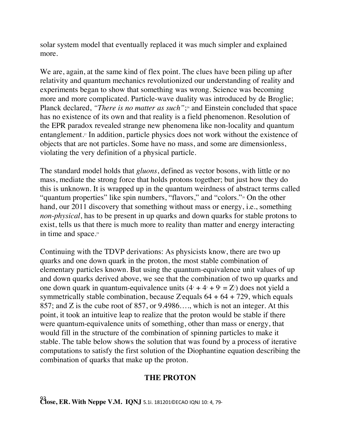solar system model that eventually replaced it was much simpler and explained more.

We are, again, at the same kind of flex point. The clues have been piling up after relativity and quantum mechanics revolutionized our understanding of reality and experiments began to show that something was wrong. Science was becoming more and more complicated. Particle-wave duality was introduced by de Broglie; Planck declared, *"There is no matter as such*";<sup>26</sup> and Einstein concluded that space has no existence of its own and that reality is a field phenomenon. Resolution of the EPR paradox revealed strange new phenomena like non-locality and quantum entanglement.<sup>27</sup> In addition, particle physics does not work without the existence of objects that are not particles. Some have no mass, and some are dimensionless, violating the very definition of a physical particle.

The standard model holds that *gluons*, defined as vector bosons, with little or no mass, mediate the strong force that holds protons together; but just how they do this is unknown. It is wrapped up in the quantum weirdness of abstract terms called "quantum properties" like spin numbers, "flavors," and "colors."<sup>28</sup> On the other hand, our 2011 discovery that something without mass or energy, i.e., something *non-physical*, has to be present in up quarks and down quarks for stable protons to exist, tells us that there is much more to reality than matter and energy interacting in time and space.<sup>29</sup>

Continuing with the TDVP derivations: As physicists know, there are two up quarks and one down quark in the proton, the most stable combination of elementary particles known. But using the quantum-equivalence unit values of up and down quarks derived above, we see that the combination of two up quarks and one down quark in quantum-equivalence units  $(4^3 + 4^3 + 9^3 = Z^3)$  does not yield a symmetrically stable combination, because Z equals  $64 + 64 + 729$ , which equals 857; and Z is the cube root of 857, or 9.4986…., which is not an integer. At this point, it took an intuitive leap to realize that the proton would be stable if there were quantum-equivalence units of something, other than mass or energy, that would fill in the structure of the combination of spinning particles to make it stable. The table below shows the solution that was found by a process of iterative computations to satisfy the first solution of the Diophantine equation describing the combination of quarks that make up the proton.

### **THE PROTON**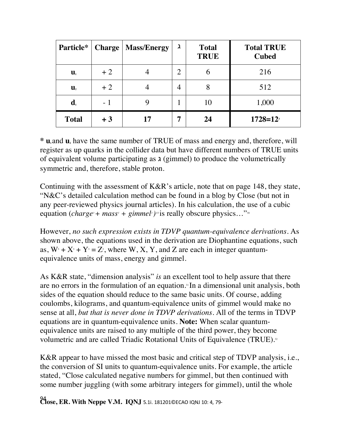| Particle*                            |      | <b>Charge   Mass/Energy</b> | $\lambda$      | <b>Total</b><br><b>TRUE</b> | <b>Total TRUE</b><br><b>Cubed</b> |
|--------------------------------------|------|-----------------------------|----------------|-----------------------------|-----------------------------------|
| $\mathbf{u}_{\scriptscriptstyle{1}}$ | $+2$ |                             | $\overline{2}$ | $\mathbf b$                 | 216                               |
| $\mathbf{u}_{\scriptscriptstyle 2}$  | $+2$ |                             | 4              | 8                           | 512                               |
| $\mathbf{d}_{i}$                     | $-1$ |                             |                | 10                          | 1,000                             |
| <b>Total</b>                         | $+3$ |                             |                | 24                          | $1728 = 12$                       |

\* **u**<sub>d</sub> and **u**<sub>z</sub> have the same number of TRUE of mass and energy and, therefore, will register as up quarks in the collider data but have different numbers of TRUE units of equivalent volume participating as ג) gimmel) to produce the volumetrically symmetric and, therefore, stable proton.

Continuing with the assessment of K&R's article, note that on page 148, they state, "N&C's detailed calculation method can be found in a blog by Close (but not in any peer-reviewed physics journal articles). In his calculation, the use of a cubic equation (*charge<sup>3</sup>* + *mass<sup>3</sup>* + *gimmel<sup>3</sup>)<sup>1/3</sup> is really obscure physics..."*<sup>30</sup>

However, *no such expression exists in TDVP quantum-equivalence derivations*. As shown above, the equations used in the derivation are Diophantine equations, such as,  $W_3 + X_3 + Y_3 = Z_3$ , where  $W, X, Y$ , and Z are each in integer quantumequivalence units of mass, energy and gimmel.

As K&R state, "dimension analysis" *is* an excellent tool to help assure that there are no errors in the formulation of an equation.<sup>31</sup> In a dimensional unit analysis, both sides of the equation should reduce to the same basic units. Of course, adding coulombs, kilograms, and quantum-equivalence units of gimmel would make no sense at all, *but that is never done in TDVP derivations*. All of the terms in TDVP equations are in quantum-equivalence units. **Note:** When scalar quantumequivalence units are raised to any multiple of the third power, they become volumetric and are called Triadic Rotational Units of Equivalence (TRUE).<sup>32</sup>

K&R appear to have missed the most basic and critical step of TDVP analysis, i.e., the conversion of SI units to quantum-equivalence units. For example, the article stated, "Close calculated negative numbers for gimmel, but then continued with some number juggling (with some arbitrary integers for gimmel), until the whole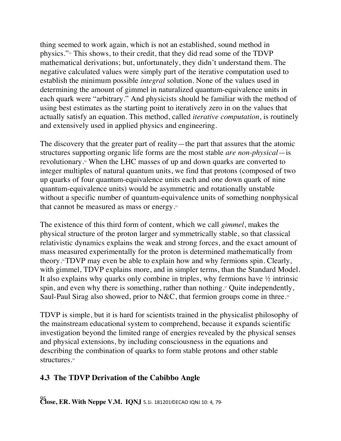thing seemed to work again, which is not an established, sound method in physics."33 This shows, to their credit, that they did read some of the TDVP mathematical derivations; but, unfortunately, they didn't understand them. The negative calculated values were simply part of the iterative computation used to establish the minimum possible *integral* solution. None of the values used in determining the amount of gimmel in naturalized quantum-equivalence units in each quark were "arbitrary." And physicists should be familiar with the method of using best estimates as the starting point to iteratively zero in on the values that actually satisfy an equation. This method, called *iterative computation*, is routinely and extensively used in applied physics and engineering.

The discovery that the greater part of reality—the part that assures that the atomic structures supporting organic life forms are the most stable *are non-physical*—is revolutionary.34 When the LHC masses of up and down quarks are converted to integer multiples of natural quantum units, we find that protons (composed of two up quarks of four quantum-equivalence units each and one down quark of nine quantum-equivalence units) would be asymmetric and rotationally unstable without a specific number of quantum-equivalence units of something nonphysical that cannot be measured as mass or energy.<sup>35</sup>

The existence of this third form of content, which we call *gimmel*, makes the physical structure of the proton larger and symmetrically stable, so that classical relativistic dynamics explains the weak and strong forces, and the exact amount of mass measured experimentally for the proton is determined mathematically from theory.36TDVP may even be able to explain how and why fermions spin. Clearly, with gimmel, TDVP explains more, and in simpler terms, than the Standard Model. It also explains why quarks only combine in triples, why fermions have ½ intrinsic spin, and even why there is something, rather than nothing.<sup>37</sup> Quite independently, Saul-Paul Sirag also showed, prior to N&C, that fermion groups come in three.<sup>38</sup>

TDVP is simple, but it is hard for scientists trained in the physicalist philosophy of the mainstream educational system to comprehend, because it expands scientific investigation beyond the limited range of energies revealed by the physical senses and physical extensions, by including consciousness in the equations and describing the combination of quarks to form stable protons and other stable structures. 39

### **4.3 The TDVP Derivation of the Cabibbo Angle**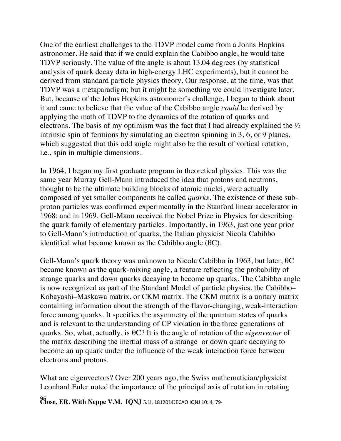One of the earliest challenges to the TDVP model came from a Johns Hopkins astronomer. He said that if we could explain the Cabibbo angle, he would take TDVP seriously. The value of the angle is about 13.04 degrees (by statistical analysis of quark decay data in high-energy LHC experiments), but it cannot be derived from standard particle physics theory. Our response, at the time, was that TDVP was a metaparadigm; but it might be something we could investigate later. But, because of the Johns Hopkins astronomer's challenge, I began to think about it and came to believe that the value of the Cabibbo angle *could* be derived by applying the math of TDVP to the dynamics of the rotation of quarks and electrons. The basis of my optimism was the fact that I had already explained the  $\frac{1}{2}$ intrinsic spin of fermions by simulating an electron spinning in 3, 6, or 9 planes, which suggested that this odd angle might also be the result of vortical rotation, i.e., spin in multiple dimensions.

In 1964, I began my first graduate program in theoretical physics. This was the same year Murray Gell-Mann introduced the idea that protons and neutrons, thought to be the ultimate building blocks of atomic nuclei, were actually composed of yet smaller components he called *quarks.* The existence of these subproton particles was confirmed experimentally in the Stanford linear accelerator in 1968; and in 1969, Gell-Mann received the Nobel Prize in Physics for describing the quark family of elementary particles. Importantly, in 1963, just one year prior to Gell-Mann's introduction of quarks, the Italian physicist Nicola Cabibbo identified what became known as the Cabibbo angle  $(\theta C)$ .

Gell-Mann's quark theory was unknown to Nicola Cabibbo in 1963, but later, θC became known as the quark-mixing angle, a feature reflecting the probability of strange quarks and down quarks decaying to become up quarks. The Cabibbo angle is now recognized as part of the Standard Model of particle physics, the Cabibbo– Kobayashi–Maskawa matrix, or CKM matrix. The CKM matrix is a unitary matrix containing information about the strength of the flavor-changing, weak-interaction force among quarks. It specifies the asymmetry of the quantum states of quarks and is relevant to the understanding of CP violation in the three generations of quarks. So, what, actually, is θC? It is the angle of rotation of the *eigenvector* of the matrix describing the inertial mass of a strange or down quark decaying to become an up quark under the influence of the weak interaction force between electrons and protons.

What are eigenvectors? Over 200 years ago, the Swiss mathematician/physicist Leonhard Euler noted the importance of the principal axis of rotation in rotating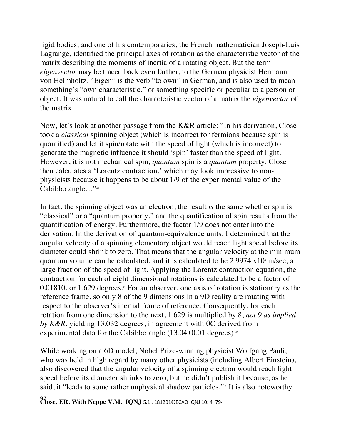rigid bodies; and one of his contemporaries, the French mathematician Joseph-Luis Lagrange, identified the principal axes of rotation as the characteristic vector of the matrix describing the moments of inertia of a rotating object. But the term *eigenvector* may be traced back even farther, to the German physicist Hermann von Helmholtz. "Eigen" is the verb "to own" in German, and is also used to mean something's "own characteristic," or something specific or peculiar to a person or object. It was natural to call the characteristic vector of a matrix the *eigenvector* of the matrix.

Now, let's look at another passage from the K&R article: "In his derivation, Close took a *classical* spinning object (which is incorrect for fermions because spin is quantified) and let it spin/rotate with the speed of light (which is incorrect) to generate the magnetic influence it should 'spin' faster than the speed of light. However, it is not mechanical spin; *quantum* spin is a *quantum* property. Close then calculates a 'Lorentz contraction,' which may look impressive to nonphysicists because it happens to be about 1/9 of the experimental value of the Cabibbo angle..."<sup>40</sup>

In fact, the spinning object was an electron, the result *is* the same whether spin is "classical" or a "quantum property," and the quantification of spin results from the quantification of energy. Furthermore, the factor 1/9 does not enter into the derivation. In the derivation of quantum-equivalence units, I determined that the angular velocity of a spinning elementary object would reach light speed before its diameter could shrink to zero. That means that the angular velocity at the minimum quantum volume can be calculated, and it is calculated to be  $2.9974 \times 10^8$  m/sec, a large fraction of the speed of light. Applying the Lorentz contraction equation, the contraction for each of eight dimensional rotations is calculated to be a factor of 0.01810, or 1.629 degrees.<sup>41</sup> For an observer, one axis of rotation is stationary as the reference frame, so only 8 of the 9 dimensions in a 9D reality are rotating with respect to the observer's inertial frame of reference. Consequently, for each rotation from one dimension to the next, 1.629 is multiplied by 8, *not 9 as implied by K&R*, yielding 13.032 degrees, in agreement with θC derived from experimental data for the Cabibbo angle (13.04±0.01 degrees).<sup>2</sup>

While working on a 6D model, Nobel Prize-winning physicist Wolfgang Pauli, who was held in high regard by many other physicists (including Albert Einstein), also discovered that the angular velocity of a spinning electron would reach light speed before its diameter shrinks to zero; but he didn't publish it because, as he said, it "leads to some rather unphysical shadow particles."<sup>43</sup> It is also noteworthy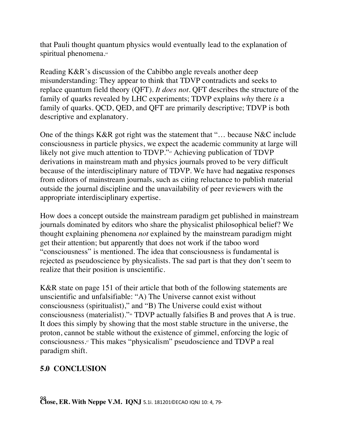that Pauli thought quantum physics would eventually lead to the explanation of spiritual phenomena.<sup>44</sup>

Reading K&R's discussion of the Cabibbo angle reveals another deep misunderstanding: They appear to think that TDVP contradicts and seeks to replace quantum field theory (QFT). *It does not*. QFT describes the structure of the family of quarks revealed by LHC experiments; TDVP explains *why* there *is* a family of quarks. QCD, QED, and QFT are primarily descriptive; TDVP is both descriptive and explanatory.

One of the things K&R got right was the statement that "… because N&C include consciousness in particle physics, we expect the academic community at large will likely not give much attention to TDVP."<sup>45</sup> Achieving publication of TDVP derivations in mainstream math and physics journals proved to be very difficult because of the interdisciplinary nature of TDVP. We have had negative responses from editors of mainstream journals, such as citing reluctance to publish material outside the journal discipline and the unavailability of peer reviewers with the appropriate interdisciplinary expertise.

How does a concept outside the mainstream paradigm get published in mainstream journals dominated by editors who share the physicalist philosophical belief? We thought explaining phenomena *not* explained by the mainstream paradigm might get their attention; but apparently that does not work if the taboo word "consciousness" is mentioned. The idea that consciousness is fundamental is rejected as pseudoscience by physicalists. The sad part is that they don't seem to realize that their position is unscientific.

K&R state on page 151 of their article that both of the following statements are unscientific and unfalsifiable: "A) The Universe cannot exist without consciousness (spiritualist)," and "B) The Universe could exist without consciousness (materialist)."46 TDVP actually falsifies B and proves that A is true. It does this simply by showing that the most stable structure in the universe, the proton, cannot be stable without the existence of gimmel, enforcing the logic of consciousness. <sup>47</sup> This makes "physicalism" pseudoscience and TDVP a real paradigm shift.

### **5.0 CONCLUSION**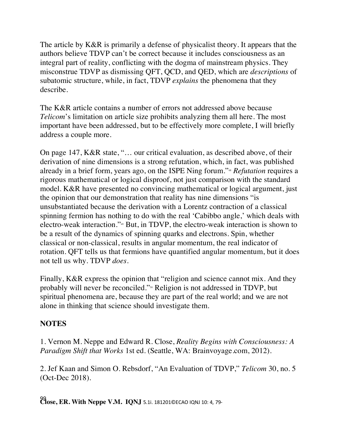The article by K&R is primarily a defense of physicalist theory. It appears that the authors believe TDVP can't be correct because it includes consciousness as an integral part of reality, conflicting with the dogma of mainstream physics. They misconstrue TDVP as dismissing QFT, QCD, and QED, which are *descriptions* of subatomic structure, while, in fact, TDVP *explains* the phenomena that they describe.

The K&R article contains a number of errors not addressed above because *Telicom*'s limitation on article size prohibits analyzing them all here. The most important have been addressed, but to be effectively more complete, I will briefly address a couple more.

On page 147, K&R state, "… our critical evaluation, as described above, of their derivation of nine dimensions is a strong refutation, which, in fact, was published already in a brief form, years ago, on the ISPE Ning forum."<sup>48</sup> *Refutation* requires a rigorous mathematical or logical disproof, not just comparison with the standard model. K&R have presented no convincing mathematical or logical argument, just the opinion that our demonstration that reality has nine dimensions "is unsubstantiated because the derivation with a Lorentz contraction of a classical spinning fermion has nothing to do with the real 'Cabibbo angle,' which deals with electro-weak interaction."49 But, in TDVP, the electro-weak interaction is shown to be a result of the dynamics of spinning quarks and electrons. Spin, whether classical or non-classical, results in angular momentum, the real indicator of rotation. QFT tells us that fermions have quantified angular momentum, but it does not tell us why. TDVP *does*.

Finally, K&R express the opinion that "religion and science cannot mix. And they probably will never be reconciled."50 Religion is not addressed in TDVP, but spiritual phenomena are, because they are part of the real world; and we are not alone in thinking that science should investigate them.

### **NOTES**

1. Vernon M. Neppe and Edward R. Close, *Reality Begins with Consciousness: A Paradigm Shift that Works* 1st ed. (Seattle, WA: Brainvoyage.com, 2012).

2. Jef Kaan and Simon O. Rebsdorf, "An Evaluation of TDVP," *Telicom* 30, no. 5 (Oct-Dec 2018).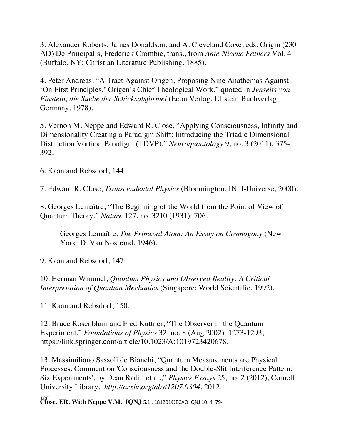3. Alexander Roberts, James Donaldson, and A. Cleveland Coxe, eds, Origin (230 AD) De Principalis, Frederick Crombie, trans., from *Ante-Nicene Fathers* Vol. 4 (Buffalo, NY: Christian Literature Publishing, 1885).

4. Peter Andreas, "A Tract Against Origen, Proposing Nine Anathemas Against 'On First Principles,' Origen's Chief Theological Work," quoted in *Jenseits von Einstein, die Suche der Schicksalsformel* (Econ Verlag, Ullstein Buchverlag, Germany, 1978).

5. Vernon M. Neppe and Edward R. Close, "Applying Consciousness, Infinity and Dimensionality Creating a Paradigm Shift: Introducing the Triadic Dimensional Distinction Vortical Paradigm (TDVP)," *Neuroquantology* 9, no. 3 (2011): 375- 392.

6. Kaan and Rebsdorf, 144.

7. Edward R. Close, *Transcendental Physics* (Bloomington, IN: I-Universe, 2000).

8. Georges Lemaître, "The Beginning of the World from the Point of View of Quantum Theory," *Nature* 127, no. 3210 (1931): 706.

Georges Lemaître, *The Primeval Atom: An Essay on Cosmogony* (New York: D. Van Nostrand, 1946).

9. Kaan and Rebsdorf, 147.

10. Herman Wimmel, *Quantum Physics and Observed Reality: A Critical Interpretation of Quantum Mechanics* (Singapore: World Scientific, 1992).

11. Kaan and Rebsdorf, 150.

12. Bruce Rosenblum and Fred Kuttner, "The Observer in the Quantum Experiment," *Foundations of Physics* 32, no. 8 (Aug 2002): 1273-1293, https://link.springer.com/article/10.1023/A:1019723420678.

13. Massimiliano Sassoli de Bianchi, "Quantum Measurements are Physical Processes. Comment on 'Consciousness and the Double-Slit Interference Pattern: Six Experiments', by Dean Radin et al.," *Physics Essays* 25, no. 2 (2012), Cornell University Library, *http://arxiv.org/abs/1207.0804*, 2012.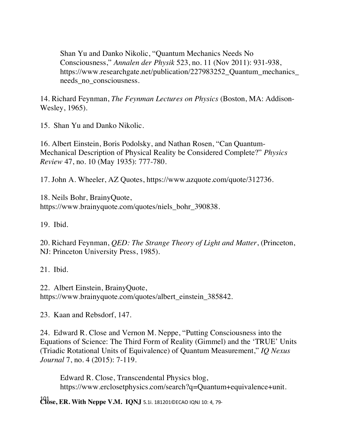Shan Yu and Danko Nikolic, "Quantum Mechanics Needs No Consciousness," *Annalen der Physik* 523, no. 11 (Nov 2011): 931-938, https://www.researchgate.net/publication/227983252 Quantum\_mechanics needs\_no\_consciousness.

14. Richard Feynman, *The Feynman Lectures on Physics* (Boston, MA: Addison-Wesley, 1965).

15. Shan Yu and Danko Nikolic.

16. Albert Einstein, Boris Podolsky, and Nathan Rosen, "Can Quantum-Mechanical Description of Physical Reality be Considered Complete?" *Physics Review* 47, no. 10 (May 1935): 777-780.

17. John A. Wheeler, AZ Quotes, https://www.azquote.com/quote/312736.

18. Neils Bohr, BrainyQuote, https://www.brainyquote.com/quotes/niels\_bohr\_390838.

19. Ibid.

20. Richard Feynman, *QED: The Strange Theory of Light and Matter*, (Princeton, NJ: Princeton University Press, 1985).

21. Ibid.

22. Albert Einstein, BrainyQuote, https://www.brainyquote.com/quotes/albert\_einstein\_385842.

23. Kaan and Rebsdorf, 147.

24. Edward R. Close and Vernon M. Neppe, "Putting Consciousness into the Equations of Science: The Third Form of Reality (Gimmel) and the 'TRUE' Units (Triadic Rotational Units of Equivalence) of Quantum Measurement," *IQ Nexus Journal* 7, no. 4 (2015): 7-119.

Edward R. Close, Transcendental Physics blog, https://www.erclosetphysics.com/search?q=Quantum+equivalence+unit.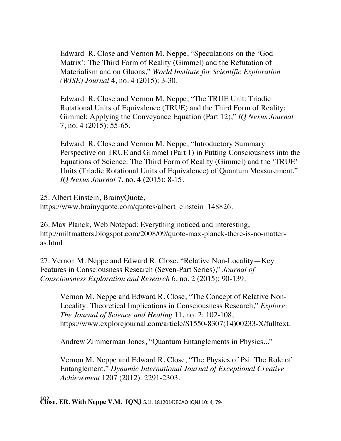Edward R. Close and Vernon M. Neppe, "Speculations on the 'God Matrix': The Third Form of Reality (Gimmel) and the Refutation of Materialism and on Gluons," *World Institute for Scientific Exploration (WISE) Journal* 4, no. 4 (2015): 3-30.

Edward R. Close and Vernon M. Neppe, "The TRUE Unit: Triadic Rotational Units of Equivalence (TRUE) and the Third Form of Reality: Gimmel; Applying the Conveyance Equation (Part 12)," *IQ Nexus Journal* 7, no. 4 (2015): 55-65.

Edward R. Close and Vernon M. Neppe, "Introductory Summary Perspective on TRUE and Gimmel (Part 1) in Putting Consciousness into the Equations of Science: The Third Form of Reality (Gimmel) and the 'TRUE' Units (Triadic Rotational Units of Equivalence) of Quantum Measurement," *IQ Nexus Journal* 7, no. 4 (2015): 8-15.

25. Albert Einstein, BrainyQuote,

https://www.brainyquote.com/quotes/albert\_einstein\_148826.

26. Max Planck, Web Notepad: Everything noticed and interesting, http://miltmatters.blogspot.com/2008/09/quote-max-planck-there-is-no-matteras.html.

27. Vernon M. Neppe and Edward R. Close, "Relative Non-Locality—Key Features in Consciousness Research (Seven-Part Series)," *Journal of Consciousness Exploration and Research* 6, no. 2 (2015): 90-139.

Vernon M. Neppe and Edward R. Close, "The Concept of Relative Non-Locality: Theoretical Implications in Consciousness Research," *Explore: The Journal of Science and Healing* 11, no. 2: 102-108, https://www.explorejournal.com/article/S1550-8307(14)00233-X/fulltext.

Andrew Zimmerman Jones, "Quantum Entanglements in Physics..."

Vernon M. Neppe and Edward R. Close, "The Physics of Psi: The Role of Entanglement," *Dynamic International Journal of Exceptional Creative Achievement* 1207 (2012): 2291-2303.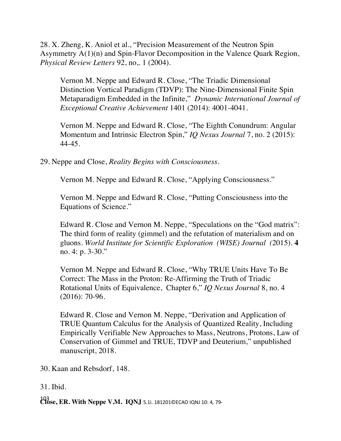28. X. Zheng, K. Aniol et al., "Precision Measurement of the Neutron Spin Asymmetry A(1)(n) and Spin-Flavor Decomposition in the Valence Quark Region, *Physical Review Letters* 92, no,. 1 (2004).

Vernon M. Neppe and Edward R. Close, "The Triadic Dimensional Distinction Vortical Paradigm (TDVP): The Nine-Dimensional Finite Spin Metaparadigm Embedded in the Infinite," *Dynamic International Journal of Exceptional Creative Achievement* 1401 (2014): 4001-4041.

Vernon M. Neppe and Edward R. Close, "The Eighth Conundrum: Angular Momentum and Intrinsic Electron Spin," *IQ Nexus Journal* 7, no. 2 (2015): 44-45.

29. Neppe and Close, *Reality Begins with Consciousness.*

Vernon M. Neppe and Edward R. Close, "Applying Consciousness."

Vernon M. Neppe and Edward R. Close, "Putting Consciousness into the Equations of Science."

Edward R. Close and Vernon M. Neppe, "Speculations on the "God matrix": The third form of reality (gimmel) and the refutation of materialism and on gluons. *World Institute for Scientific Exploration (WISE) Journal (*2015). **4** no. 4: p. 3-30."

Vernon M. Neppe and Edward R. Close, "Why TRUE Units Have To Be Correct: The Mass in the Proton: Re-Affirming the Truth of Triadic Rotational Units of Equivalence, Chapter 6," *IQ Nexus Journal* 8, no. 4 (2016): 70-96.

Edward R. Close and Vernon M. Neppe, "Derivation and Application of TRUE Quantum Calculus for the Analysis of Quantized Reality, Including Empirically Verifiable New Approaches to Mass, Neutrons, Protons, Law of Conservation of Gimmel and TRUE, TDVP and Deuterium," unpublished manuscript, 2018.

30. Kaan and Rebsdorf, 148.

31. Ibid.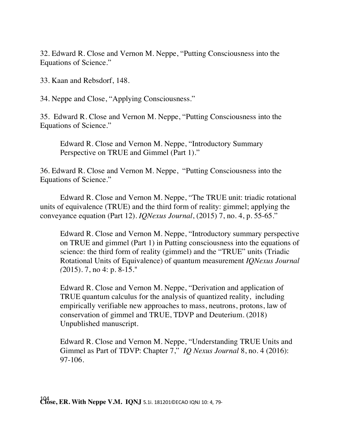32. Edward R. Close and Vernon M. Neppe, "Putting Consciousness into the Equations of Science."

33. Kaan and Rebsdorf, 148.

34. Neppe and Close, "Applying Consciousness."

35. Edward R. Close and Vernon M. Neppe, "Putting Consciousness into the Equations of Science."

Edward R. Close and Vernon M. Neppe, "Introductory Summary Perspective on TRUE and Gimmel (Part 1)."

36. Edward R. Close and Vernon M. Neppe, "Putting Consciousness into the Equations of Science."

Edward R. Close and Vernon M. Neppe, "The TRUE unit: triadic rotational units of equivalence (TRUE) and the third form of reality: gimmel; applying the conveyance equation (Part 12). *IQNexus Journal*, (2015) 7, no. 4, p. 55-65."

Edward R. Close and Vernon M. Neppe, "Introductory summary perspective on TRUE and gimmel (Part 1) in Putting consciousness into the equations of science: the third form of reality (gimmel) and the "TRUE" units (Triadic Rotational Units of Equivalence) of quantum measurement *IQNexus Journal (*2015). 7, no 4: p. 8-15."

Edward R. Close and Vernon M. Neppe, "Derivation and application of TRUE quantum calculus for the analysis of quantized reality, including empirically verifiable new approaches to mass, neutrons, protons, law of conservation of gimmel and TRUE, TDVP and Deuterium. (2018) Unpublished manuscript.

Edward R. Close and Vernon M. Neppe, "Understanding TRUE Units and Gimmel as Part of TDVP: Chapter 7," *IQ Nexus Journal* 8, no. 4 (2016): 97-106.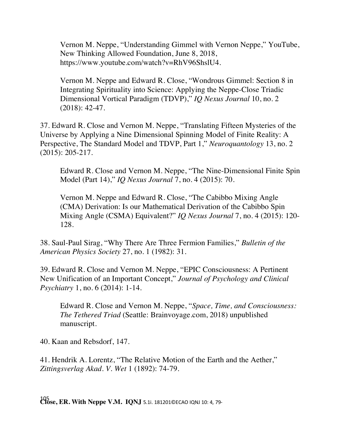Vernon M. Neppe, "Understanding Gimmel with Vernon Neppe," YouTube, New Thinking Allowed Foundation, June 8, 2018, https://www.youtube.com/watch?v=RhV96ShslU4.

Vernon M. Neppe and Edward R. Close, "Wondrous Gimmel: Section 8 in Integrating Spirituality into Science: Applying the Neppe-Close Triadic Dimensional Vortical Paradigm (TDVP)," *IQ Nexus Journal* 10, no. 2 (2018): 42-47.

37. Edward R. Close and Vernon M. Neppe, "Translating Fifteen Mysteries of the Universe by Applying a Nine Dimensional Spinning Model of Finite Reality: A Perspective, The Standard Model and TDVP, Part 1," *Neuroquantology* 13, no. 2 (2015): 205-217.

Edward R. Close and Vernon M. Neppe, "The Nine-Dimensional Finite Spin Model (Part 14)," *IQ Nexus Journal* 7, no. 4 (2015): 70.

Vernon M. Neppe and Edward R. Close, "The Cabibbo Mixing Angle (CMA) Derivation: Is our Mathematical Derivation of the Cabibbo Spin Mixing Angle (CSMA) Equivalent?" *IQ Nexus Journal* 7, no. 4 (2015): 120- 128.

38. Saul-Paul Sirag, "Why There Are Three Fermion Families," *Bulletin of the American Physics Society* 27, no. 1 (1982): 31.

39. Edward R. Close and Vernon M. Neppe, "EPIC Consciousness: A Pertinent New Unification of an Important Concept," *Journal of Psychology and Clinical Psychiatry* 1, no. 6 (2014): 1-14.

Edward R. Close and Vernon M. Neppe, "*Space, Time, and Consciousness: The Tethered Triad* (Seattle: Brainvoyage.com, 2018) unpublished manuscript.

40. Kaan and Rebsdorf, 147.

41. Hendrik A. Lorentz, "The Relative Motion of the Earth and the Aether," *Zittingsverlag Akad. V. Wet* 1 (1892): 74-79.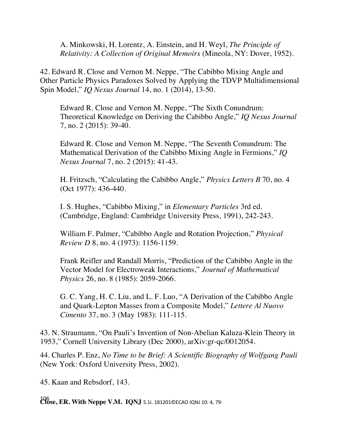A. Minkowski, H. Lorentz, A. Einstein, and H. Weyl, *The Principle of Relativity: A Collection of Original Memoirs* (Mineola, NY: Dover, 1952).

42. Edward R. Close and Vernon M. Neppe, "The Cabibbo Mixing Angle and Other Particle Physics Paradoxes Solved by Applying the TDVP Multidimensional Spin Model," *IQ Nexus Journal* 14, no. 1 (2014), 13-50.

Edward R. Close and Vernon M. Neppe, "The Sixth Conundrum: Theoretical Knowledge on Deriving the Cabibbo Angle," *IQ Nexus Journal* 7, no. 2 (2015): 39-40.

Edward R. Close and Vernon M. Neppe, "The Seventh Conundrum: The Mathematical Derivation of the Cabibbo Mixing Angle in Fermions," *IQ Nexus Journal* 7, no. 2 (2015): 41-43.

H. Fritzsch, "Calculating the Cabibbo Angle," *Physics Letters B* 70, no. 4 (Oct 1977): 436-440.

I. S. Hughes, "Cabibbo Mixing," in *Elementary Particles* 3rd ed. (Cambridge, England: Cambridge University Press, 1991), 242-243.

William F. Palmer, "Cabibbo Angle and Rotation Projection," *Physical Review D* 8, no. 4 (1973): 1156-1159.

Frank Reifler and Randall Morris, "Prediction of the Cabibbo Angle in the Vector Model for Electroweak Interactions," *Journal of Mathematical Physics* 26, no. 8 (1985): 2059-2066.

G. C. Yang, H. C. Liu, and L. F. Luo, "A Derivation of the Cabibbo Angle and Quark-Lepton Masses from a Composite Model," *Lettere Al Nuovo Cimento* 37, no. 3 (May 1983): 111-115.

43. N. Straumann, "On Pauli's Invention of Non-Abelian Kaluza-Klein Theory in 1953," Cornell University Library (Dec 2000), arXiv:gr-qc/0012054.

44. Charles P. Enz, *No Time to be Brief: A Scientific Biography of Wolfgang Pauli* (New York: Oxford University Press, 2002).

45. Kaan and Rebsdorf, 143.